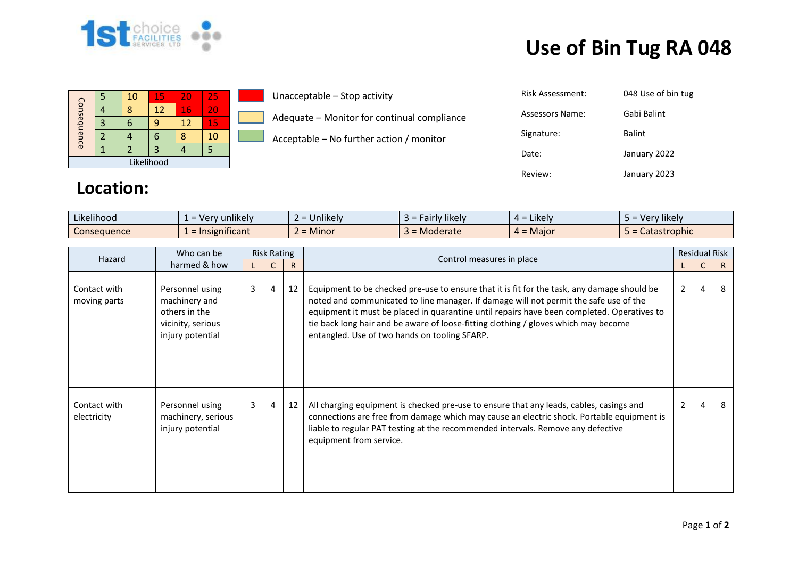

## **Use of Bin Tug RA 048**

|             |  | 10 | 15      | 20 | 25 |  |  |
|-------------|--|----|---------|----|----|--|--|
| Consequence |  | Я  | $12 \,$ | 16 | 20 |  |  |
|             |  |    |         | 12 | 15 |  |  |
|             |  |    |         |    | 10 |  |  |
|             |  |    |         |    |    |  |  |
| Likelihood  |  |    |         |    |    |  |  |

Unacceptable – Stop activity

Adequate – Monitor for continual compliance

Acceptable – No further action / monitor

| Risk Assessment: | 048 Use of bin tug |
|------------------|--------------------|
| Assessors Name:  | Gabi Balint        |
| Signature:       | Balint             |
| Date:            | January 2022       |
| Review:          | January 2023       |
|                  |                    |
|                  |                    |

## **Location:**

| $-1.1$<br>$\cdot$ $\cdot$ $\cdot$<br>Likelihood | $\cdots$<br>unlikely<br>- Ver<br>$\overline{\phantom{0}}$<br>--<br>$\sim$ | <b>Jnlikely</b>          | $\cdots$<br><b>likel</b> y<br>ייר<br>i IV<br>anı" | Likely<br>$\Delta =$ | $\cdots$<br>Very likely<br>$\cdot$ $-$ |
|-------------------------------------------------|---------------------------------------------------------------------------|--------------------------|---------------------------------------------------|----------------------|----------------------------------------|
| Consequence                                     | .<br>mificant<br><u>__</u>                                                | . .<br><b>Minor</b><br>- | Moderate                                          | Maior<br>$-$         | Catastrophic                           |

| Who can be<br>Hazard<br>harmed & how | <b>Risk Rating</b>                                                                         |                |                | Control measures in place | <b>Residual Risk</b>                                                                                                                                                                                                                                                                                                                                                                                                       |                |   |    |
|--------------------------------------|--------------------------------------------------------------------------------------------|----------------|----------------|---------------------------|----------------------------------------------------------------------------------------------------------------------------------------------------------------------------------------------------------------------------------------------------------------------------------------------------------------------------------------------------------------------------------------------------------------------------|----------------|---|----|
|                                      |                                                                                            |                |                | R                         |                                                                                                                                                                                                                                                                                                                                                                                                                            |                |   | R. |
| Contact with<br>moving parts         | Personnel using<br>machinery and<br>others in the<br>vicinity, serious<br>injury potential | $\mathbf{3}$   | $\overline{4}$ | 12                        | Equipment to be checked pre-use to ensure that it is fit for the task, any damage should be<br>noted and communicated to line manager. If damage will not permit the safe use of the<br>equipment it must be placed in quarantine until repairs have been completed. Operatives to<br>tie back long hair and be aware of loose-fitting clothing / gloves which may become<br>entangled. Use of two hands on tooling SFARP. | $\overline{2}$ | 4 | 8  |
| Contact with<br>electricity          | Personnel using<br>machinery, serious<br>injury potential                                  | 3 <sup>1</sup> | $\overline{4}$ | 12                        | All charging equipment is checked pre-use to ensure that any leads, cables, casings and<br>connections are free from damage which may cause an electric shock. Portable equipment is<br>liable to regular PAT testing at the recommended intervals. Remove any defective<br>equipment from service.                                                                                                                        | $\overline{2}$ | 4 | 8  |